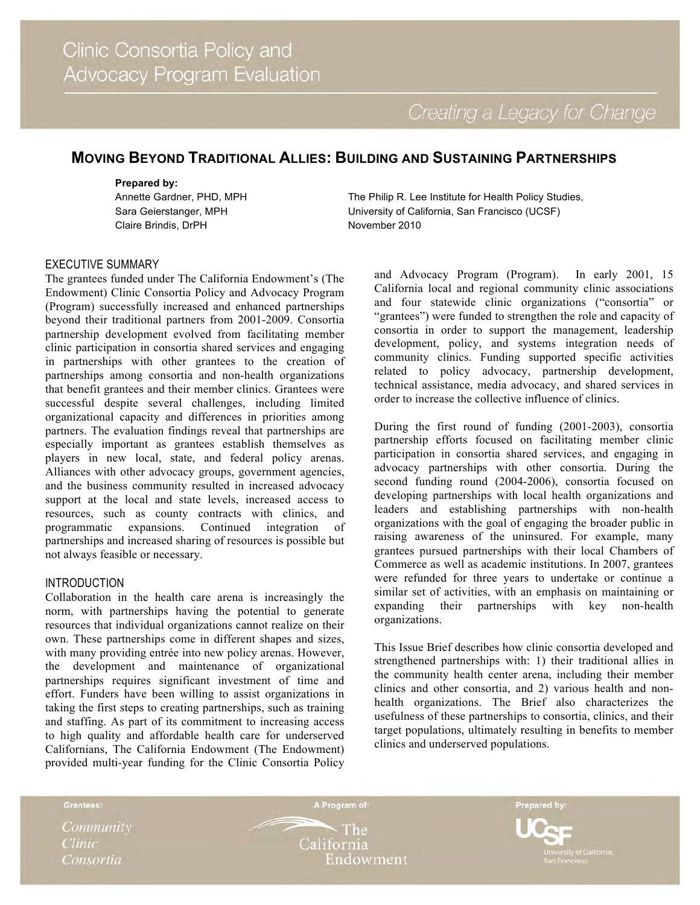Creating a Legacy for Change

# **MOVING BEYOND TRADITIONAL ALLIES: BUILDING AND SUSTAINING PARTNERSHIPS**

#### **Prepared by:**

Annette Gardner, PHD, MPH Sara Geierstanger, MPH Claire Brindis, DrPH

The Philip R. Lee Institute for Health Policy Studies, University of California, San Francisco (UCSF) November 2010

# EXECUTIVE SUMMARY

The grantees funded under The California Endowment's (The Endowment) Clinic Consortia Policy and Advocacy Program (Program) successfully increased and enhanced partnerships beyond their traditional partners from 2001-2009. Consortia partnership development evolved from facilitating member clinic participation in consortia shared services and engaging in partnerships with other grantees to the creation of partnerships among consortia and non-health organizations that benefit grantees and their member clinics. Grantees were successful despite several challenges, including limited organizational capacity and differences in priorities among partners. The evaluation findings reveal that partnerships are especially important as grantees establish themselves as players in new local, state, and federal policy arenas. Alliances with other advocacy groups, government agencies, and the business community resulted in increased advocacy support at the local and state levels, increased access to resources, such as county contracts with clinics, and programmatic expansions. Continued integration of partnerships and increased sharing of resources is possible but not always feasible or necessary.

#### INTRODUCTION

Collaboration in the health care arena is increasingly the norm, with partnerships having the potential to generate resources that individual organizations cannot realize on their own. These partnerships come in different shapes and sizes, with many providing entrée into new policy arenas. However, the development and maintenance of organizational partnerships requires significant investment of time and effort. Funders have been willing to assist organizations in taking the first steps to creating partnerships, such as training and staffing. As part of its commitment to increasing access to high quality and affordable health care for underserved Californians, The California Endowment (The Endowment) provided multi-year funding for the Clinic Consortia Policy

and Advocacy Program (Program). In early 2001, 15 California local and regional community clinic associations and four statewide clinic organizations ("consortia" or "grantees") were funded to strengthen the role and capacity of consortia in order to support the management, leadership development, policy, and systems integration needs of community clinics. Funding supported specific activities related to policy advocacy, partnership development, technical assistance, media advocacy, and shared services in order to increase the collective influence of clinics.

During the first round of funding (2001-2003), consortia partnership efforts focused on facilitating member clinic participation in consortia shared services, and engaging in advocacy partnerships with other consortia. During the second funding round (2004-2006), consortia focused on developing partnerships with local health organizations and leaders and establishing partnerships with non-health organizations with the goal of engaging the broader public in raising awareness of the uninsured. For example, many grantees pursued partnerships with their local Chambers of Commerce as well as academic institutions. In 2007, grantees were refunded for three years to undertake or continue a similar set of activities, with an emphasis on maintaining or expanding their partnerships with key non-health organizations.

This Issue Brief describes how clinic consortia developed and strengthened partnerships with: 1) their traditional allies in the community health center arena, including their member clinics and other consortia, and 2) various health and nonhealth organizations. The Brief also characterizes the usefulness of these partnerships to consortia, clinics, and their target populations, ultimately resulting in benefits to member clinics and underserved populations.

Grantees:

Community **Clinic** Consortia

 $\mathord{\sim}$  The California Endowment

A Program of:

Prepared by: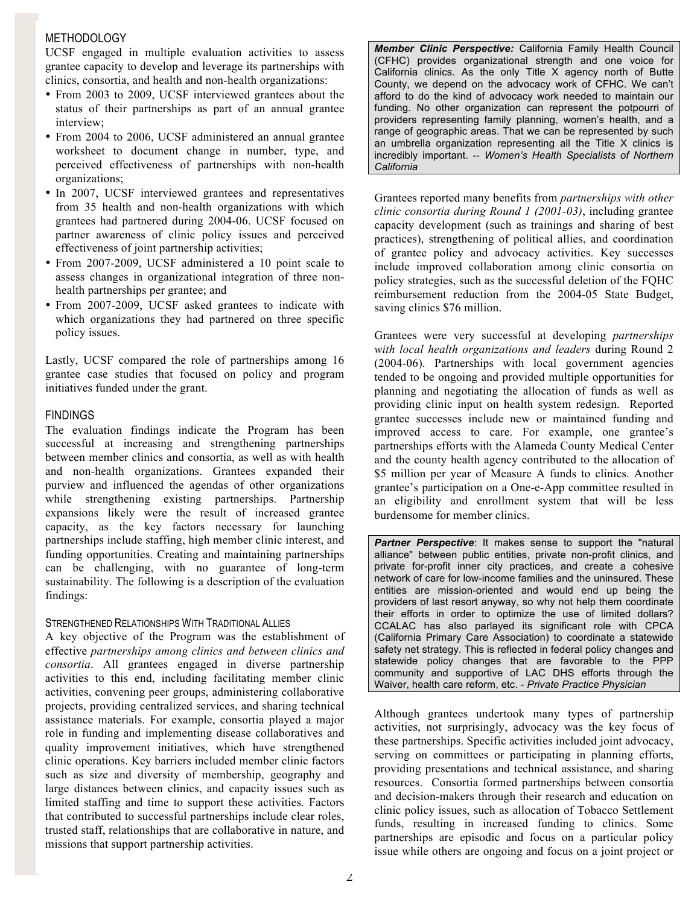# **METHODOLOGY**

UCSF engaged in multiple evaluation activities to assess grantee capacity to develop and leverage its partnerships with clinics, consortia, and health and non-health organizations:

- From 2003 to 2009, UCSF interviewed grantees about the status of their partnerships as part of an annual grantee interview;
- From 2004 to 2006, UCSF administered an annual grantee worksheet to document change in number, type, and perceived effectiveness of partnerships with non-health organizations;
- In 2007, UCSF interviewed grantees and representatives from 35 health and non-health organizations with which grantees had partnered during 2004-06. UCSF focused on partner awareness of clinic policy issues and perceived effectiveness of joint partnership activities;
- From 2007-2009, UCSF administered a 10 point scale to assess changes in organizational integration of three nonhealth partnerships per grantee; and
- From 2007-2009, UCSF asked grantees to indicate with which organizations they had partnered on three specific policy issues.

Lastly, UCSF compared the role of partnerships among 16 grantee case studies that focused on policy and program initiatives funded under the grant.

## FINDINGS

The evaluation findings indicate the Program has been successful at increasing and strengthening partnerships between member clinics and consortia, as well as with health and non-health organizations. Grantees expanded their purview and influenced the agendas of other organizations while strengthening existing partnerships. Partnership expansions likely were the result of increased grantee capacity, as the key factors necessary for launching partnerships include staffing, high member clinic interest, and funding opportunities. Creating and maintaining partnerships can be challenging, with no guarantee of long-term sustainability. The following is a description of the evaluation findings:

#### STRENGTHENED RELATIONSHIPS WITH TRADITIONAL ALLIES

A key objective of the Program was the establishment of effective *partnerships among clinics and between clinics and consortia*. All grantees engaged in diverse partnership activities to this end, including facilitating member clinic activities, convening peer groups, administering collaborative projects, providing centralized services, and sharing technical assistance materials. For example, consortia played a major role in funding and implementing disease collaboratives and quality improvement initiatives, which have strengthened clinic operations. Key barriers included member clinic factors such as size and diversity of membership, geography and large distances between clinics, and capacity issues such as limited staffing and time to support these activities. Factors that contributed to successful partnerships include clear roles, trusted staff, relationships that are collaborative in nature, and missions that support partnership activities.

*Member Clinic Perspective:* California Family Health Council (CFHC) provides organizational strength and one voice for California clinics. As the only Title X agency north of Butte County, we depend on the advocacy work of CFHC. We can't afford to do the kind of advocacy work needed to maintain our funding. No other organization can represent the potpourri of providers representing family planning, women's health, and a range of geographic areas. That we can be represented by such an umbrella organization representing all the Title X clinics is incredibly important. -- *Women's Health Specialists of Northern California*

Grantees reported many benefits from *partnerships with other clinic consortia during Round 1 (2001-03)*, including grantee capacity development (such as trainings and sharing of best practices), strengthening of political allies, and coordination of grantee policy and advocacy activities. Key successes include improved collaboration among clinic consortia on policy strategies, such as the successful deletion of the FQHC reimbursement reduction from the 2004-05 State Budget, saving clinics \$76 million.

Grantees were very successful at developing *partnerships with local health organizations and leaders* during Round 2 (2004-06). Partnerships with local government agencies tended to be ongoing and provided multiple opportunities for planning and negotiating the allocation of funds as well as providing clinic input on health system redesign. Reported grantee successes include new or maintained funding and improved access to care. For example, one grantee's partnerships efforts with the Alameda County Medical Center and the county health agency contributed to the allocation of \$5 million per year of Measure A funds to clinics. Another grantee's participation on a One-e-App committee resulted in an eligibility and enrollment system that will be less burdensome for member clinics.

*Partner Perspective*: It makes sense to support the "natural alliance" between public entities, private non-profit clinics, and private for-profit inner city practices, and create a cohesive network of care for low-income families and the uninsured. These entities are mission-oriented and would end up being the providers of last resort anyway, so why not help them coordinate their efforts in order to optimize the use of limited dollars? CCALAC has also parlayed its significant role with CPCA (California Primary Care Association) to coordinate a statewide safety net strategy. This is reflected in federal policy changes and statewide policy changes that are favorable to the PPP community and supportive of LAC DHS efforts through the Waiver, health care reform, etc. - *Private Practice Physician*

Although grantees undertook many types of partnership activities, not surprisingly, advocacy was the key focus of these partnerships. Specific activities included joint advocacy, serving on committees or participating in planning efforts, providing presentations and technical assistance, and sharing resources. Consortia formed partnerships between consortia and decision-makers through their research and education on clinic policy issues, such as allocation of Tobacco Settlement funds, resulting in increased funding to clinics. Some partnerships are episodic and focus on a particular policy issue while others are ongoing and focus on a joint project or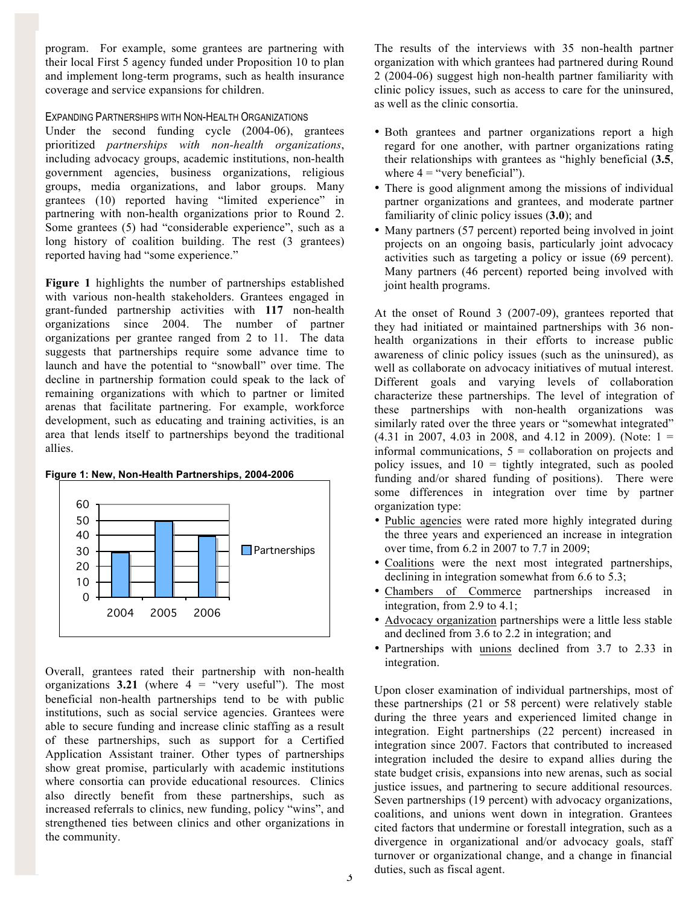program. For example, some grantees are partnering with their local First 5 agency funded under Proposition 10 to plan and implement long-term programs, such as health insurance coverage and service expansions for children.

#### EXPANDING PARTNERSHIPS WITH NON-HEALTH ORGANIZATIONS

Under the second funding cycle (2004-06), grantees prioritized *partnerships with non-health organizations*, including advocacy groups, academic institutions, non-health government agencies, business organizations, religious groups, media organizations, and labor groups. Many grantees (10) reported having "limited experience" in partnering with non-health organizations prior to Round 2. Some grantees (5) had "considerable experience", such as a long history of coalition building. The rest (3 grantees) reported having had "some experience."

**Figure 1** highlights the number of partnerships established with various non-health stakeholders. Grantees engaged in grant-funded partnership activities with **117** non-health organizations since 2004. The number of partner organizations per grantee ranged from 2 to 11. The data suggests that partnerships require some advance time to launch and have the potential to "snowball" over time. The decline in partnership formation could speak to the lack of remaining organizations with which to partner or limited arenas that facilitate partnering. For example, workforce development, such as educating and training activities, is an area that lends itself to partnerships beyond the traditional allies.



Overall, grantees rated their partnership with non-health organizations  $3.21$  (where  $4 =$  "very useful"). The most beneficial non-health partnerships tend to be with public institutions, such as social service agencies. Grantees were able to secure funding and increase clinic staffing as a result of these partnerships, such as support for a Certified Application Assistant trainer. Other types of partnerships show great promise, particularly with academic institutions where consortia can provide educational resources. Clinics also directly benefit from these partnerships, such as increased referrals to clinics, new funding, policy "wins", and strengthened ties between clinics and other organizations in the community.

The results of the interviews with 35 non-health partner organization with which grantees had partnered during Round 2 (2004-06) suggest high non-health partner familiarity with clinic policy issues, such as access to care for the uninsured, as well as the clinic consortia.

- Both grantees and partner organizations report a high regard for one another, with partner organizations rating their relationships with grantees as "highly beneficial (**3.5**, where  $4 =$  "very beneficial").
- There is good alignment among the missions of individual partner organizations and grantees, and moderate partner familiarity of clinic policy issues (**3.0**); and
- Many partners (57 percent) reported being involved in joint projects on an ongoing basis, particularly joint advocacy activities such as targeting a policy or issue (69 percent). Many partners (46 percent) reported being involved with joint health programs.

At the onset of Round 3 (2007-09), grantees reported that they had initiated or maintained partnerships with 36 nonhealth organizations in their efforts to increase public awareness of clinic policy issues (such as the uninsured), as well as collaborate on advocacy initiatives of mutual interest. Different goals and varying levels of collaboration characterize these partnerships. The level of integration of these partnerships with non-health organizations was similarly rated over the three years or "somewhat integrated"  $(4.31 \text{ in } 2007, 4.03 \text{ in } 2008, \text{ and } 4.12 \text{ in } 2009)$ . (Note:  $1 =$ informal communications,  $5 =$  collaboration on projects and policy issues, and  $10 =$  tightly integrated, such as pooled funding and/or shared funding of positions). There were some differences in integration over time by partner organization type:

- Public agencies were rated more highly integrated during the three years and experienced an increase in integration over time, from 6.2 in 2007 to 7.7 in 2009;
- Coalitions were the next most integrated partnerships, declining in integration somewhat from 6.6 to 5.3;
- Chambers of Commerce partnerships increased in integration, from 2.9 to 4.1;
- Advocacy organization partnerships were a little less stable and declined from 3.6 to 2.2 in integration; and
- Partnerships with unions declined from 3.7 to 2.33 in integration.

Upon closer examination of individual partnerships, most of these partnerships (21 or 58 percent) were relatively stable during the three years and experienced limited change in integration. Eight partnerships (22 percent) increased in integration since 2007. Factors that contributed to increased integration included the desire to expand allies during the state budget crisis, expansions into new arenas, such as social justice issues, and partnering to secure additional resources. Seven partnerships (19 percent) with advocacy organizations, coalitions, and unions went down in integration. Grantees cited factors that undermine or forestall integration, such as a divergence in organizational and/or advocacy goals, staff turnover or organizational change, and a change in financial duties, such as fiscal agent.